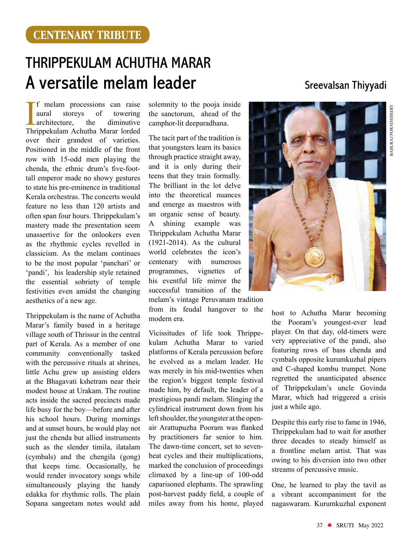## Thrippekulam Achutha Marar A versatile melam leader Sieevalsan Thiyyadi

I f melam processions can raise<br>
aural storeys of towering<br>
architecture, the diminutive<br>
Thrippekulam Achutha Marar lorded f melam processions can raise aural storeys of towering architecture, the diminutive over their grandest of varieties. Positioned in the middle of the front row with 15-odd men playing the chenda, the ethnic drum's five-foottall emperor made no showy gestures to state his pre-eminence in traditional Kerala orchestras. The concerts would feature no less than 120 artists and often span four hours. Thrippekulam's mastery made the presentation seem unassertive for the onlookers even as the rhythmic cycles revelled in classicism. As the melam continues to be the most popular 'panchari' or 'pandi', his leadership style retained the essential sobriety of temple festivities even amidst the changing aesthetics of a new age.

Thrippekulam is the name of Achutha Marar's family based in a heritage village south of Thrissur in the central part of Kerala. As a member of one community conventionally tasked with the percussive rituals at shrines, little Achu grew up assisting elders at the Bhagavati kshetram near their modest house at Urakam. The routine acts inside the sacred precincts made life busy for the boy—before and after his school hours. During mornings and at sunset hours, he would play not just the chenda but allied instruments such as the slender timila, ilatalam (cymbals) and the chengila (gong) that keeps time. Occasionally, he would render invocatory songs while simultaneously playing the handy edakka for rhythmic rolls. The plain Sopana sangeetam notes would add

solemnity to the pooja inside the sanctorum, ahead of the camphor-lit deeparadhana.

The tacit part of the tradition is that youngsters learn its basics through practice straight away, and it is only during their teens that they train formally. The brilliant in the lot delve into the theoretical nuances and emerge as maestros with an organic sense of beauty. A shining example was Thrippekulam Achutha Marar (1921-2014). As the cultural world celebrates the icon's centenary with numerous programmes, vignettes of his eventful life mirror the successful transition of the melam's vintage Peruvanam tradition from its feudal hangover to the modern era.

Vicissitudes of life took Thrippekulam Achutha Marar to varied platforms of Kerala percussion before he evolved as a melam leader. He was merely in his mid-twenties when the region's biggest temple festival made him, by default, the leader of a prestigious pandi melam. Slinging the cylindrical instrument down from his left shoulder, the youngster at the openair Arattupuzha Pooram was flanked by practitioners far senior to him. The dawn-time concert, set to sevenbeat cycles and their multiplications, marked the conclusion of proceedings climaxed by a line-up of 100-odd caparisoned elephants. The sprawling post-harvest paddy field, a couple of miles away from his home, played

Baburaj Porathissery

host to Achutha Marar becoming the Pooram's youngest-ever lead player. On that day, old-timers were very appreciative of the pandi, also featuring rows of bass chenda and cymbals opposite kurumkuzhal pipers and C-shaped kombu trumpet. None regretted the unanticipated absence of Thrippekulam's uncle Govinda Marar, which had triggered a crisis just a while ago.

Despite this early rise to fame in 1946, Thrippekulam had to wait for another three decades to steady himself as a frontline melam artist. That was owing to his diversion into two other streams of percussive music.

One, he learned to play the tavil as a vibrant accompaniment for the nagaswaram. Kurumkuzhal exponent